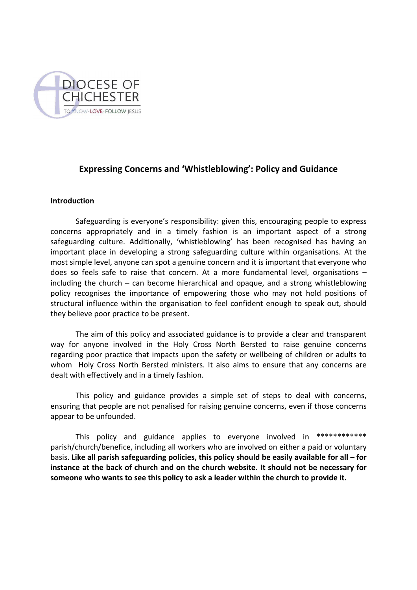

# **Expressing Concerns and 'Whistleblowing': Policy and Guidance**

### **Introduction**

Safeguarding is everyone's responsibility: given this, encouraging people to express concerns appropriately and in a timely fashion is an important aspect of a strong safeguarding culture. Additionally, 'whistleblowing' has been recognised has having an important place in developing a strong safeguarding culture within organisations. At the most simple level, anyone can spot a genuine concern and it is important that everyone who does so feels safe to raise that concern. At a more fundamental level, organisations – including the church – can become hierarchical and opaque, and a strong whistleblowing policy recognises the importance of empowering those who may not hold positions of structural influence within the organisation to feel confident enough to speak out, should they believe poor practice to be present.

The aim of this policy and associated guidance is to provide a clear and transparent way for anyone involved in the Holy Cross North Bersted to raise genuine concerns regarding poor practice that impacts upon the safety or wellbeing of children or adults to whom Holy Cross North Bersted ministers. It also aims to ensure that any concerns are dealt with effectively and in a timely fashion.

This policy and guidance provides a simple set of steps to deal with concerns, ensuring that people are not penalised for raising genuine concerns, even if those concerns appear to be unfounded.

This policy and guidance applies to everyone involved in \*\*\*\*\*\*\*\*\*\*\*\*\* parish/church/benefice, including all workers who are involved on either a paid or voluntary basis. **Like all parish safeguarding policies, this policy should be easily available for all – for instance at the back of church and on the church website. It should not be necessary for someone who wants to see this policy to ask a leader within the church to provide it.**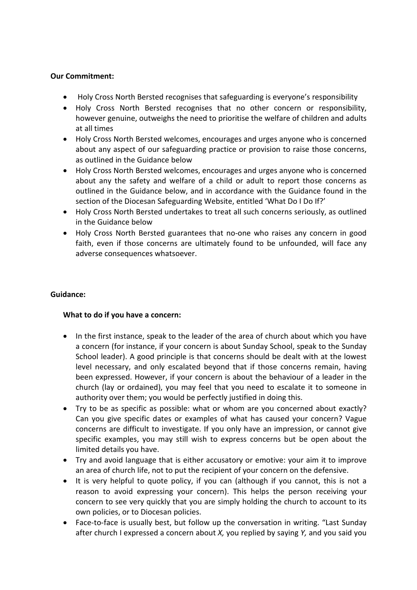# **Our Commitment:**

- Holy Cross North Bersted recognises that safeguarding is everyone's responsibility
- Holy Cross North Bersted recognises that no other concern or responsibility, however genuine, outweighs the need to prioritise the welfare of children and adults at all times
- Holy Cross North Bersted welcomes, encourages and urges anyone who is concerned about any aspect of our safeguarding practice or provision to raise those concerns, as outlined in the Guidance below
- Holy Cross North Bersted welcomes, encourages and urges anyone who is concerned about any the safety and welfare of a child or adult to report those concerns as outlined in the Guidance below, and in accordance with the Guidance found in the section of the Diocesan Safeguarding Website, entitled 'What Do I Do If?'
- Holy Cross North Bersted undertakes to treat all such concerns seriously, as outlined in the Guidance below
- Holy Cross North Bersted guarantees that no-one who raises any concern in good faith, even if those concerns are ultimately found to be unfounded, will face any adverse consequences whatsoever.

## **Guidance:**

# **What to do if you have a concern:**

- In the first instance, speak to the leader of the area of church about which you have a concern (for instance, if your concern is about Sunday School, speak to the Sunday School leader). A good principle is that concerns should be dealt with at the lowest level necessary, and only escalated beyond that if those concerns remain, having been expressed. However, if your concern is about the behaviour of a leader in the church (lay or ordained), you may feel that you need to escalate it to someone in authority over them; you would be perfectly justified in doing this.
- Try to be as specific as possible: what or whom are you concerned about exactly? Can you give specific dates or examples of what has caused your concern? Vague concerns are difficult to investigate. If you only have an impression, or cannot give specific examples, you may still wish to express concerns but be open about the limited details you have.
- Try and avoid language that is either accusatory or emotive: your aim it to improve an area of church life, not to put the recipient of your concern on the defensive.
- It is very helpful to quote policy, if you can (although if you cannot, this is not a reason to avoid expressing your concern). This helps the person receiving your concern to see very quickly that you are simply holding the church to account to its own policies, or to Diocesan policies.
- Face-to-face is usually best, but follow up the conversation in writing. "Last Sunday after church I expressed a concern about *X,* you replied by saying *Y,* and you said you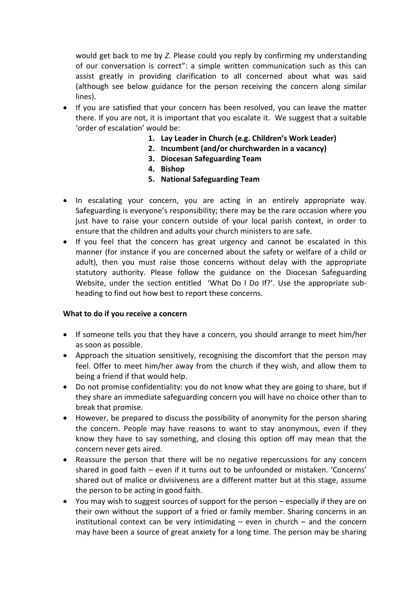would get back to me by *Z.* Please could you reply by confirming my understanding of our conversation is correct": a simple written communication such as this can assist greatly in providing clarification to all concerned about what was said (although see below guidance for the person receiving the concern along similar lines).

- If you are satisfied that your concern has been resolved, you can leave the matter there. If you are not, it is important that you escalate it. We suggest that a suitable 'order of escalation' would be:
	- **1. Lay Leader in Church (e.g. Children's Work Leader)**
	- **2. Incumbent (and/or churchwarden in a vacancy)**
	- **3. Diocesan Safeguarding Team**
	- **4. Bishop**
	- **5. National Safeguarding Team**
- In escalating your concern, you are acting in an entirely appropriate way. Safeguarding is everyone's responsibility; there may be the rare occasion where you just have to raise your concern outside of your local parish context, in order to ensure that the children and adults your church ministers to are safe.
- If you feel that the concern has great urgency and cannot be escalated in this manner (for instance if you are concerned about the safety or welfare of a child or adult), then you must raise those concerns without delay with the appropriate statutory authority. Please follow the guidance on the Diocesan Safeguarding Website, under the section entitled 'What Do I Do If?'. Use the appropriate subheading to find out how best to report these concerns.

### **What to do if you receive a concern**

- If someone tells you that they have a concern, you should arrange to meet him/her as soon as possible.
- Approach the situation sensitively, recognising the discomfort that the person may feel. Offer to meet him/her away from the church if they wish, and allow them to being a friend if that would help.
- Do not promise confidentiality: you do not know what they are going to share, but if they share an immediate safeguarding concern you will have no choice other than to break that promise.
- However, be prepared to discuss the possibility of anonymity for the person sharing the concern. People may have reasons to want to stay anonymous, even if they know they have to say something, and closing this option off may mean that the concern never gets aired.
- Reassure the person that there will be no negative repercussions for any concern shared in good faith – even if it turns out to be unfounded or mistaken. 'Concerns' shared out of malice or divisiveness are a different matter but at this stage, assume the person to be acting in good faith.
- You may wish to suggest sources of support for the person especially if they are on their own without the support of a fried or family member. Sharing concerns in an institutional context can be very intimidating  $-$  even in church  $-$  and the concern may have been a source of great anxiety for a long time. The person may be sharing